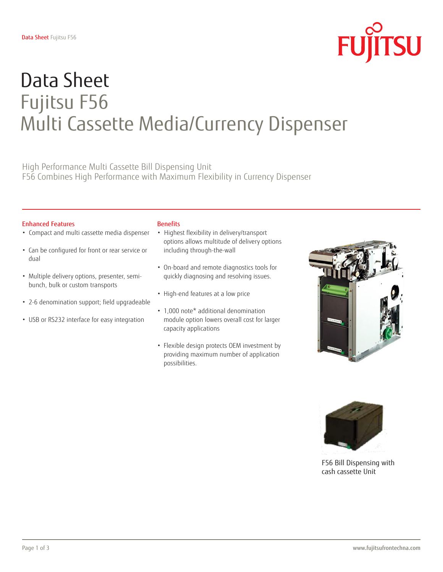

# Data Sheet Fujitsu F56 Multi Cassette Media/Currency Dispenser

High Performance Multi Cassette Bill Dispensing Unit F56 Combines High Performance with Maximum Flexibility in Currency Dispenser

### Enhanced Features

- Compact and multi cassette media dispenser
- Can be configured for front or rear service or dual
- Multiple delivery options, presenter, semibunch, bulk or custom transports
- 2-6 denomination support; field upgradeable
- USB or RS232 interface for easy integration

### **Benefits**

- Highest flexibility in delivery/transport options allows multitude of delivery options including through-the-wall
- On-board and remote diagnostics tools for quickly diagnosing and resolving issues.
- High-end features at a low price
- 1,000 note\* additional denomination module option lowers overall cost for larger capacity applications
- Flexible design protects OEM investment by providing maximum number of application possibilities.





F56 Bill Dispensing with cash cassette Unit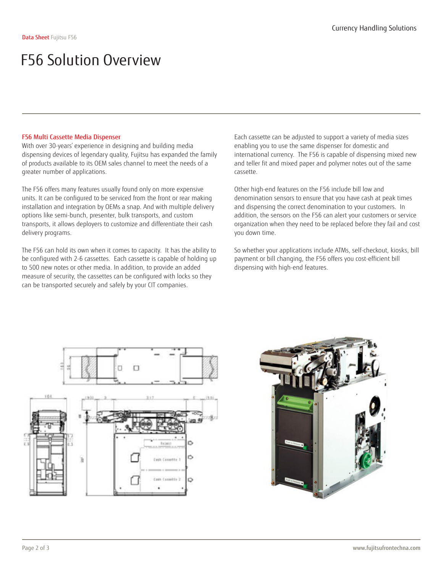### F56 Solution Overview

### F56 Multi Cassette Media Dispenser

With over 30-years' experience in designing and building media dispensing devices of legendary quality, Fujitsu has expanded the family of products available to its OEM sales channel to meet the needs of a greater number of applications.

The F56 offers many features usually found only on more expensive units. It can be configured to be serviced from the front or rear making installation and integration by OEMs a snap. And with multiple delivery options like semi-bunch, presenter, bulk transports, and custom transports, it allows deployers to customize and differentiate their cash delivery programs.

The F56 can hold its own when it comes to capacity. It has the ability to be configured with 2-6 cassettes. Each cassette is capable of holding up to 500 new notes or other media. In addition, to provide an added measure of security, the cassettes can be configured with locks so they can be transported securely and safely by your CIT companies.

Each cassette can be adjusted to support a variety of media sizes enabling you to use the same dispenser for domestic and international currency. The F56 is capable of dispensing mixed new and teller fit and mixed paper and polymer notes out of the same cassette.

Other high-end features on the F56 include bill low and denomination sensors to ensure that you have cash at peak times and dispensing the correct denomination to your customers. In addition, the sensors on the F56 can alert your customers or service organization when they need to be replaced before they fail and cost you down time.

So whether your applications include ATMs, self-checkout, kiosks, bill payment or bill changing, the F56 offers you cost-efficient bill dispensing with high-end features.